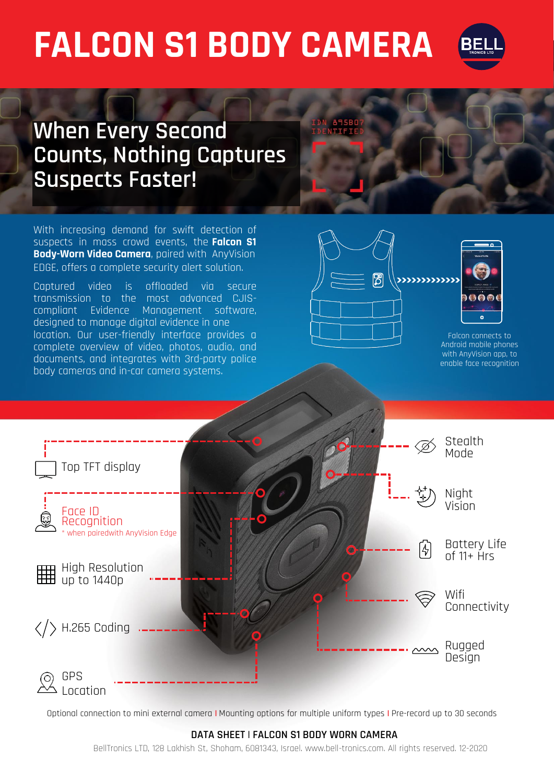## **FALCON S1 BODY CAMERA**



## **When Every Second Counts, Nothing Captures Suspects Faster!**

With increasing demand for swift detection of suspects in mass crowd events, the **Falcon S1 Body-Worn Video Camera**, paired with AnyVision EDGE, offers a complete security alert solution.

Captured video is offloaded via secure transmission to the most advanced CJIScompliant Evidence Management software, designed to manage digital evidence in one location. Our user-friendly interface provides a complete overview of video, photos, audio, and documents, and integrates with 3rd-party police body cameras and in-car camera systems.





Falcon connects to Android mobile phones with AnyVision app, to enable face recognition



Optional connection to mini external camera **|** Mounting options for multiple uniform types **|** Pre-record up to 30 seconds

### **DATA SHEET | FALCON S1 BODY WORN CAMERA**

[BellTronics LTD, 128 Lakhish St, Shoham, 6081343, Israel. www.bell-tronics.com.](http://www.bell-tronics.com/) All rights reserved. 12-2020